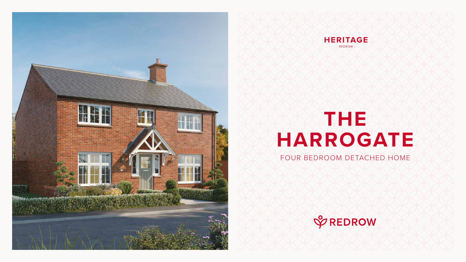# **THE HARROGATE**

#### FOUR BEDROOM DETACHED HOME







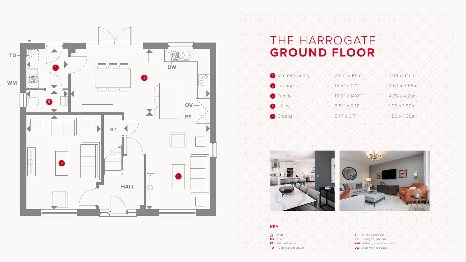## THE HARROGATE **GROUND FLOOR**





#### **KEY**

**BOO** Hob **OV** Oven **FF** Fridge/freezer

**TD** Tumble dryer space

Dimensions start **ST** Storage cupboard **WM** Washing machine space **DW** Dish washer space